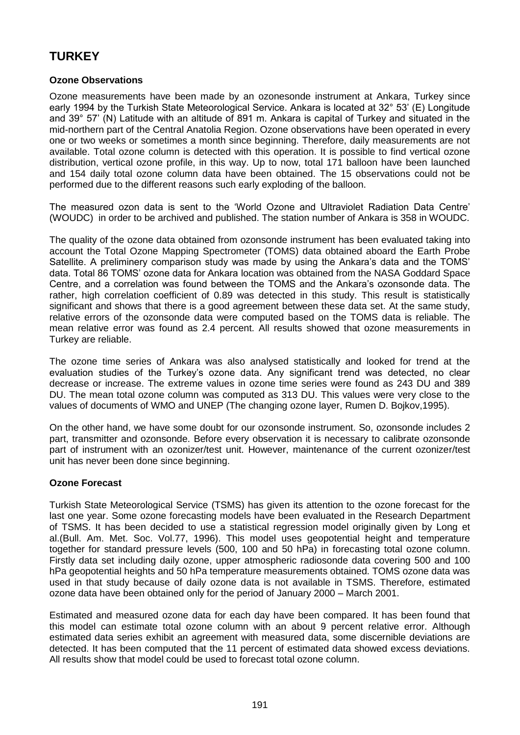# **TURKEY**

## **Ozone Observations**

Ozone measurements have been made by an ozonesonde instrument at Ankara, Turkey since early 1994 by the Turkish State Meteorological Service. Ankara is located at 32° 53' (E) Longitude and 39° 57' (N) Latitude with an altitude of 891 m. Ankara is capital of Turkey and situated in the mid-northern part of the Central Anatolia Region. Ozone observations have been operated in every one or two weeks or sometimes a month since beginning. Therefore, daily measurements are not available. Total ozone column is detected with this operation. It is possible to find vertical ozone distribution, vertical ozone profile, in this way. Up to now, total 171 balloon have been launched and 154 daily total ozone column data have been obtained. The 15 observations could not be performed due to the different reasons such early exploding of the balloon.

The measured ozon data is sent to the 'World Ozone and Ultraviolet Radiation Data Centre' (WOUDC) in order to be archived and published. The station number of Ankara is 358 in WOUDC.

The quality of the ozone data obtained from ozonsonde instrument has been evaluated taking into account the Total Ozone Mapping Spectrometer (TOMS) data obtained aboard the Earth Probe Satellite. A preliminery comparison study was made by using the Ankara's data and the TOMS' data. Total 86 TOMS' ozone data for Ankara location was obtained from the NASA Goddard Space Centre, and a correlation was found between the TOMS and the Ankara's ozonsonde data. The rather, high correlation coefficient of 0.89 was detected in this study. This result is statistically significant and shows that there is a good agreement between these data set. At the same study, relative errors of the ozonsonde data were computed based on the TOMS data is reliable. The mean relative error was found as 2.4 percent. All results showed that ozone measurements in Turkey are reliable.

The ozone time series of Ankara was also analysed statistically and looked for trend at the evaluation studies of the Turkey's ozone data. Any significant trend was detected, no clear decrease or increase. The extreme values in ozone time series were found as 243 DU and 389 DU. The mean total ozone column was computed as 313 DU. This values were very close to the values of documents of WMO and UNEP (The changing ozone layer, Rumen D. Bojkov,1995).

On the other hand, we have some doubt for our ozonsonde instrument. So, ozonsonde includes 2 part, transmitter and ozonsonde. Before every observation it is necessary to calibrate ozonsonde part of instrument with an ozonizer/test unit. However, maintenance of the current ozonizer/test unit has never been done since beginning.

## **Ozone Forecast**

Turkish State Meteorological Service (TSMS) has given its attention to the ozone forecast for the last one year. Some ozone forecasting models have been evaluated in the Research Department of TSMS. It has been decided to use a statistical regression model originally given by Long et al.(Bull. Am. Met. Soc. Vol.77, 1996). This model uses geopotential height and temperature together for standard pressure levels (500, 100 and 50 hPa) in forecasting total ozone column. Firstly data set including daily ozone, upper atmospheric radiosonde data covering 500 and 100 hPa geopotential heights and 50 hPa temperature measurements obtained. TOMS ozone data was used in that study because of daily ozone data is not available in TSMS. Therefore, estimated ozone data have been obtained only for the period of January 2000 – March 2001.

Estimated and measured ozone data for each day have been compared. It has been found that this model can estimate total ozone column with an about 9 percent relative error. Although estimated data series exhibit an agreement with measured data, some discernible deviations are detected. It has been computed that the 11 percent of estimated data showed excess deviations. All results show that model could be used to forecast total ozone column.